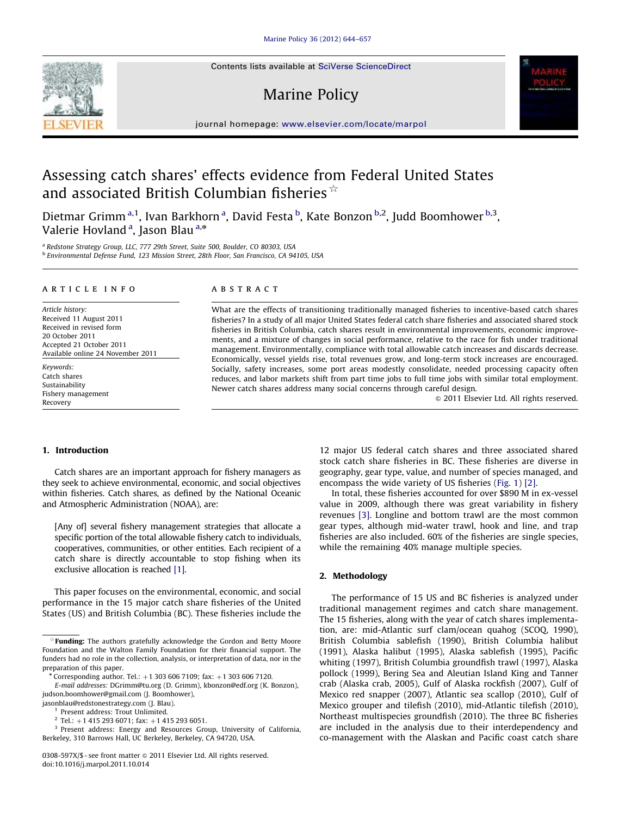Contents lists available at SciVerse ScienceDirect

# Marine Policy



journal homepage: www.elsevier.com/locate/marpol

# Assessing catch shares' effects evidence from Federal United States and associated British Columbian fisheries  $\hat{z}$

Dietmar Grimm<sup>a,1</sup>, Ivan Barkhorn<sup>a</sup>, David Festa <sup>b</sup>, Kate Bonzon <sup>b,2</sup>, Judd Boomhower <sup>b,3</sup>, Valerie Hovland<sup>a</sup>, Jason Blau<sup>a,\*</sup>

a *Redstone Strategy Group, LLC, 777 29th Street, Suite 500, Boulder, CO 80303, USA* b *Environmental Defense Fund, 123 Mission Street, 28th Floor, San Francisco, CA 94105, USA*

#### a r t i c l e i n f o

*Article history:* Received 11 August 2011 Received in revised form 20 October 2011 Accepted 21 October 2011 Available online 24 November 2011

*Keywords:* Catch shares Sustainability Fishery management Recovery

# A B S T R A C T

What are the effects of transitioning traditionally managed fisheries to incentive-based catch shares fisheries? In a study of all major United States federal catch share fisheries and associated shared stock fisheries in British Columbia, catch shares result in environmental improvements, economic improvements, and a mixture of changes in social performance, relative to the race for fish under traditional management. Environmentally, compliance with total allowable catch increases and discards decrease. Economically, vessel yields rise, total revenues grow, and long-term stock increases are encouraged. Socially, safety increases, some port areas modestly consolidate, needed processing capacity often reduces, and labor markets shift from part time jobs to full time jobs with similar total employment. Newer catch shares address many social concerns through careful design.

 $\odot$  2011 Elsevier Ltd. All rights reserved.

#### 1. Introduction

Catch shares are an important approach for fishery managers as they seek to achieve environmental, economic, and social objectives within fisheries. Catch shares, as defined by the National Oceanic and Atmospheric Administration (NOAA), are:

[Any of] several fishery management strategies that allocate a specific portion of the total allowable fishery catch to individuals, cooperatives, communities, or other entities. Each recipient of a catch share is directly accountable to stop fishing when its exclusive allocation is reached [1].

This paper focuses on the environmental, economic, and social performance in the 15 major catch share fisheries of the United States (US) and British Columbia (BC). These fisheries include the

jasonblau@redstonestrategy.com (J. Blau).

 $2$  Tel.:  $+1$  415 293 6071; fax:  $+1$  415 293 6051.

0308-597X/\$ - see front matter  $\circ$  2011 Elsevier Ltd. All rights reserved. doi:10.1016/j.marpol.2011.10.014

12 major US federal catch shares and three associated shared stock catch share fisheries in BC. These fisheries are diverse in geography, gear type, value, and number of species managed, and encompass the wide variety of US fisheries (Fig. 1) [2].

In total, these fisheries accounted for over \$890 M in ex-vessel value in 2009, although there was great variability in fishery revenues [3]. Longline and bottom trawl are the most common gear types, although mid-water trawl, hook and line, and trap fisheries are also included. 60% of the fisheries are single species, while the remaining 40% manage multiple species.

# 2. Methodology

The performance of 15 US and BC fisheries is analyzed under traditional management regimes and catch share management. The 15 fisheries, along with the year of catch shares implementation, are: mid-Atlantic surf clam/ocean quahog (SCOQ, 1990), British Columbia sablefish (1990), British Columbia halibut (1991), Alaska halibut (1995), Alaska sablefish (1995), Pacific whiting (1997), British Columbia groundfish trawl (1997), Alaska pollock (1999), Bering Sea and Aleutian Island King and Tanner crab (Alaska crab, 2005), Gulf of Alaska rockfish (2007), Gulf of Mexico red snapper (2007), Atlantic sea scallop (2010), Gulf of Mexico grouper and tilefish (2010), mid-Atlantic tilefish (2010), Northeast multispecies groundfish (2010). The three BC fisheries are included in the analysis due to their interdependency and co-management with the Alaskan and Pacific coast catch share



 $*$ Funding: The authors gratefully acknowledge the Gordon and Betty Moore Foundation and the Walton Family Foundation for their financial support. The funders had no role in the collection, analysis, or interpretation of data, nor in the preparation of this paper.

<sup>\*</sup> Corresponding author. Tel.:  $+1$  303 606 7109; fax:  $+1$  303 606 7120.

*E-mail addresses:* DGrimm@tu.org (D. Grimm), kbonzon@edf.org (K. Bonzon), judson.boomhower@gmail.com (J. Boomhower),

<sup>&</sup>lt;sup>1</sup> Present address: Trout Unlimited.

<sup>&</sup>lt;sup>3</sup> Present address: Energy and Resources Group, University of California, Berkeley, 310 Barrows Hall, UC Berkeley, Berkeley, CA 94720, USA.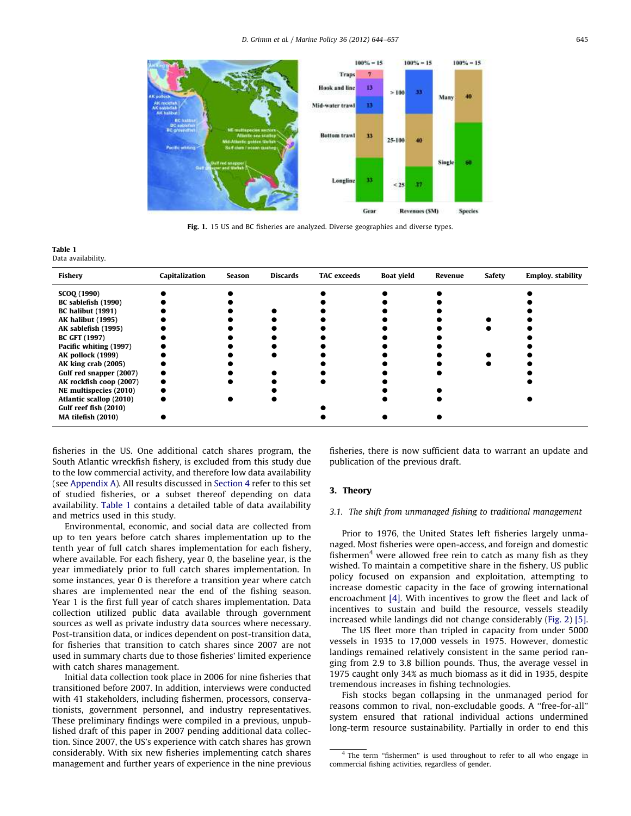

Fig. 1. 15 US and BC fisheries are analyzed. Diverse geographies and diverse types.

#### Table 1 Data availability.

| <b>Fishery</b>           | Capitalization | Season | <b>Discards</b> | <b>TAC</b> exceeds | <b>Boat yield</b> | Revenue | Safety | <b>Employ.</b> stability |
|--------------------------|----------------|--------|-----------------|--------------------|-------------------|---------|--------|--------------------------|
| SCOQ (1990)              |                |        |                 |                    |                   |         |        |                          |
| BC sablefish (1990)      |                |        |                 |                    |                   |         |        |                          |
| <b>BC</b> halibut (1991) |                |        |                 |                    |                   |         |        |                          |
| <b>AK halibut (1995)</b> |                |        |                 |                    |                   |         |        |                          |
| AK sablefish (1995)      |                |        |                 |                    |                   |         |        |                          |
| <b>BC GFT (1997)</b>     |                |        |                 |                    |                   |         |        |                          |
| Pacific whiting (1997)   |                |        |                 |                    |                   |         |        |                          |
| AK pollock (1999)        |                |        |                 |                    |                   |         |        |                          |
| AK king crab (2005)      |                |        |                 |                    |                   |         |        |                          |
| Gulf red snapper (2007)  |                |        |                 |                    |                   |         |        |                          |
| AK rockfish coop (2007)  |                |        |                 |                    |                   |         |        |                          |
| NE multispecies (2010)   |                |        |                 |                    |                   |         |        |                          |
| Atlantic scallop (2010)  |                |        |                 |                    |                   |         |        |                          |
| Gulf reef fish (2010)    |                |        |                 |                    |                   |         |        |                          |
| MA tilefish (2010)       |                |        |                 |                    |                   |         |        |                          |

fisheries in the US. One additional catch shares program, the South Atlantic wreckfish fishery, is excluded from this study due to the low commercial activity, and therefore low data availability (see Appendix A). All results discussed in Section 4 refer to this set of studied fisheries, or a subset thereof depending on data availability. Table 1 contains a detailed table of data availability and metrics used in this study.

Environmental, economic, and social data are collected from up to ten years before catch shares implementation up to the tenth year of full catch shares implementation for each fishery, where available. For each fishery, year 0, the baseline year, is the year immediately prior to full catch shares implementation. In some instances, year 0 is therefore a transition year where catch shares are implemented near the end of the fishing season. Year 1 is the first full year of catch shares implementation. Data collection utilized public data available through government sources as well as private industry data sources where necessary. Post-transition data, or indices dependent on post-transition data, for fisheries that transition to catch shares since 2007 are not used in summary charts due to those fisheries' limited experience with catch shares management.

Initial data collection took place in 2006 for nine fisheries that transitioned before 2007. In addition, interviews were conducted with 41 stakeholders, including fishermen, processors, conservationists, government personnel, and industry representatives. These preliminary findings were compiled in a previous, unpublished draft of this paper in 2007 pending additional data collection. Since 2007, the US's experience with catch shares has grown considerably. With six new fisheries implementing catch shares management and further years of experience in the nine previous fisheries, there is now sufficient data to warrant an update and publication of the previous draft.

# 3. Theory

#### *3.1. The shift from unmanaged fishing to traditional management*

Prior to 1976, the United States left fisheries largely unmanaged. Most fisheries were open-access, and foreign and domestic fishermen<sup>4</sup> were allowed free rein to catch as many fish as they wished. To maintain a competitive share in the fishery, US public policy focused on expansion and exploitation, attempting to increase domestic capacity in the face of growing international encroachment [4]. With incentives to grow the fleet and lack of incentives to sustain and build the resource, vessels steadily increased while landings did not change considerably (Fig. 2) [5].

The US fleet more than tripled in capacity from under 5000 vessels in 1935 to 17,000 vessels in 1975. However, domestic landings remained relatively consistent in the same period ranging from 2.9 to 3.8 billion pounds. Thus, the average vessel in 1975 caught only 34% as much biomass as it did in 1935, despite tremendous increases in fishing technologies.

Fish stocks began collapsing in the unmanaged period for reasons common to rival, non-excludable goods. A ''free-for-all'' system ensured that rational individual actions undermined long-term resource sustainability. Partially in order to end this

<sup>&</sup>lt;sup>4</sup> The term "fishermen" is used throughout to refer to all who engage in commercial fishing activities, regardless of gender.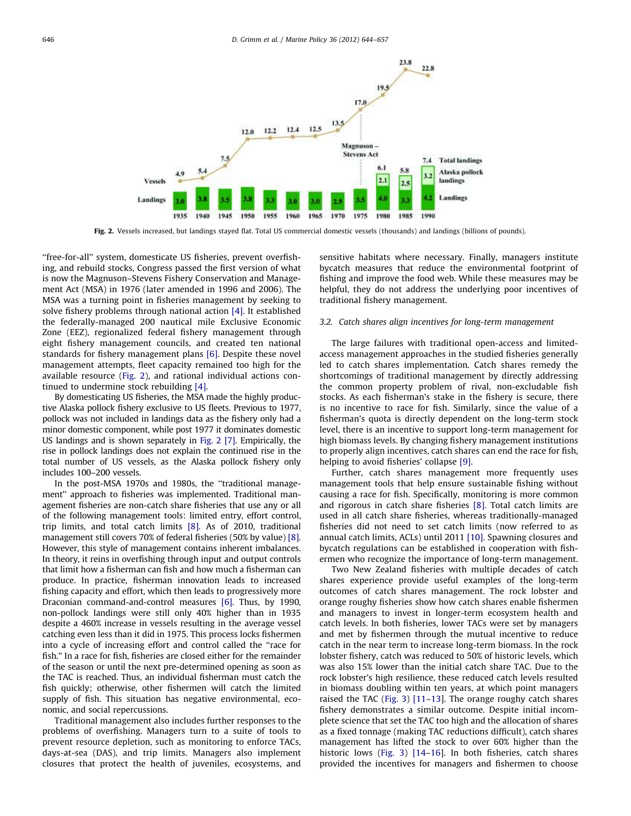

Fig. 2. Vessels increased, but landings stayed flat. Total US commercial domestic vessels (thousands) and landings (billions of pounds).

''free-for-all'' system, domesticate US fisheries, prevent overfishing, and rebuild stocks, Congress passed the first version of what is now the Magnuson–Stevens Fishery Conservation and Management Act (MSA) in 1976 (later amended in 1996 and 2006). The MSA was a turning point in fisheries management by seeking to solve fishery problems through national action [4]. It established the federally-managed 200 nautical mile Exclusive Economic Zone (EEZ), regionalized federal fishery management through eight fishery management councils, and created ten national standards for fishery management plans [6]. Despite these novel management attempts, fleet capacity remained too high for the available resource (Fig. 2), and rational individual actions continued to undermine stock rebuilding [4].

By domesticating US fisheries, the MSA made the highly productive Alaska pollock fishery exclusive to US fleets. Previous to 1977, pollock was not included in landings data as the fishery only had a minor domestic component, while post 1977 it dominates domestic US landings and is shown separately in Fig. 2 [7]. Empirically, the rise in pollock landings does not explain the continued rise in the total number of US vessels, as the Alaska pollock fishery only includes 100–200 vessels.

In the post-MSA 1970s and 1980s, the ''traditional management'' approach to fisheries was implemented. Traditional management fisheries are non-catch share fisheries that use any or all of the following management tools: limited entry, effort control, trip limits, and total catch limits [8]. As of 2010, traditional management still covers 70% of federal fisheries (50% by value) [8]. However, this style of management contains inherent imbalances. In theory, it reins in overfishing through input and output controls that limit how a fisherman can fish and how much a fisherman can produce. In practice, fisherman innovation leads to increased fishing capacity and effort, which then leads to progressively more Draconian command-and-control measures [6]. Thus, by 1990, non-pollock landings were still only 40% higher than in 1935 despite a 460% increase in vessels resulting in the average vessel catching even less than it did in 1975. This process locks fishermen into a cycle of increasing effort and control called the ''race for fish.'' In a race for fish, fisheries are closed either for the remainder of the season or until the next pre-determined opening as soon as the TAC is reached. Thus, an individual fisherman must catch the fish quickly; otherwise, other fishermen will catch the limited supply of fish. This situation has negative environmental, economic, and social repercussions.

Traditional management also includes further responses to the problems of overfishing. Managers turn to a suite of tools to prevent resource depletion, such as monitoring to enforce TACs, days-at-sea (DAS), and trip limits. Managers also implement closures that protect the health of juveniles, ecosystems, and sensitive habitats where necessary. Finally, managers institute bycatch measures that reduce the environmental footprint of fishing and improve the food web. While these measures may be helpful, they do not address the underlying poor incentives of traditional fishery management.

# *3.2. Catch shares align incentives for long-term management*

The large failures with traditional open-access and limitedaccess management approaches in the studied fisheries generally led to catch shares implementation. Catch shares remedy the shortcomings of traditional management by directly addressing the common property problem of rival, non-excludable fish stocks. As each fisherman's stake in the fishery is secure, there is no incentive to race for fish. Similarly, since the value of a fisherman's quota is directly dependent on the long-term stock level, there is an incentive to support long-term management for high biomass levels. By changing fishery management institutions to properly align incentives, catch shares can end the race for fish, helping to avoid fisheries' collapse [9].

Further, catch shares management more frequently uses management tools that help ensure sustainable fishing without causing a race for fish. Specifically, monitoring is more common and rigorous in catch share fisheries [8]. Total catch limits are used in all catch share fisheries, whereas traditionally-managed fisheries did not need to set catch limits (now referred to as annual catch limits, ACLs) until 2011 [10]. Spawning closures and bycatch regulations can be established in cooperation with fishermen who recognize the importance of long-term management.

Two New Zealand fisheries with multiple decades of catch shares experience provide useful examples of the long-term outcomes of catch shares management. The rock lobster and orange roughy fisheries show how catch shares enable fishermen and managers to invest in longer-term ecosystem health and catch levels. In both fisheries, lower TACs were set by managers and met by fishermen through the mutual incentive to reduce catch in the near term to increase long-term biomass. In the rock lobster fishery, catch was reduced to 50% of historic levels, which was also 15% lower than the initial catch share TAC. Due to the rock lobster's high resilience, these reduced catch levels resulted in biomass doubling within ten years, at which point managers raised the TAC (Fig. 3) [11–13]. The orange roughy catch shares fishery demonstrates a similar outcome. Despite initial incomplete science that set the TAC too high and the allocation of shares as a fixed tonnage (making TAC reductions difficult), catch shares management has lifted the stock to over 60% higher than the historic lows (Fig. 3) [14-16]. In both fisheries, catch shares provided the incentives for managers and fishermen to choose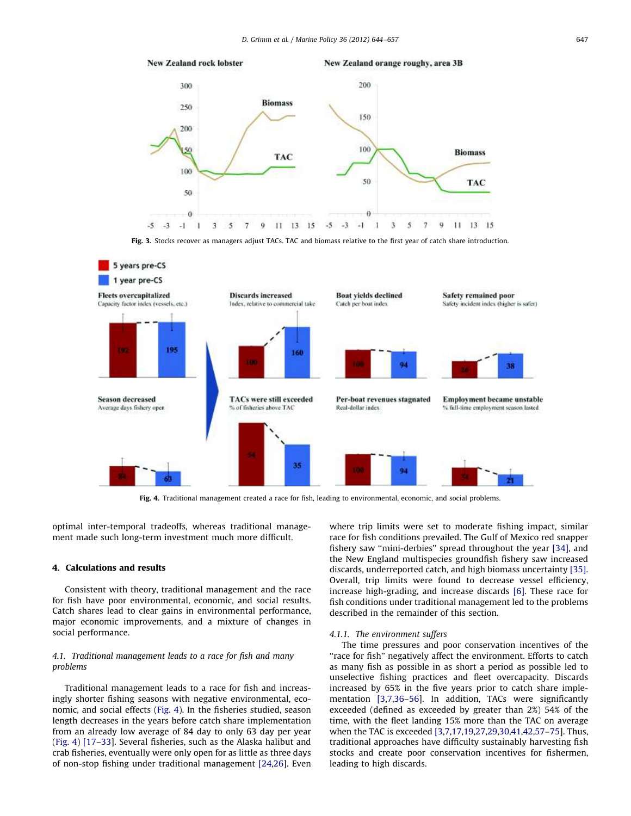

Fig. 3. Stocks recover as managers adjust TACs. TAC and biomass relative to the first year of catch share introduction.



Fig. 4. Traditional management created a race for fish, leading to environmental, economic, and social problems.

optimal inter-temporal tradeoffs, whereas traditional management made such long-term investment much more difficult.

#### 4. Calculations and results

Consistent with theory, traditional management and the race for fish have poor environmental, economic, and social results. Catch shares lead to clear gains in environmental performance, major economic improvements, and a mixture of changes in social performance.

# *4.1. Traditional management leads to a race for fish and many problems*

Traditional management leads to a race for fish and increasingly shorter fishing seasons with negative environmental, economic, and social effects (Fig. 4). In the fisheries studied, season length decreases in the years before catch share implementation from an already low average of 84 day to only 63 day per year (Fig. 4) [17–33]. Several fisheries, such as the Alaska halibut and crab fisheries, eventually were only open for as little as three days of non-stop fishing under traditional management [24,26]. Even where trip limits were set to moderate fishing impact, similar race for fish conditions prevailed. The Gulf of Mexico red snapper fishery saw ''mini-derbies'' spread throughout the year [34], and the New England multispecies groundfish fishery saw increased discards, underreported catch, and high biomass uncertainty [35]. Overall, trip limits were found to decrease vessel efficiency, increase high-grading, and increase discards [6]. These race for fish conditions under traditional management led to the problems described in the remainder of this section.

### *4.1.1. The environment suffers*

The time pressures and poor conservation incentives of the "race for fish" negatively affect the environment. Efforts to catch as many fish as possible in as short a period as possible led to unselective fishing practices and fleet overcapacity. Discards increased by 65% in the five years prior to catch share implementation [3,7,36–56]. In addition, TACs were significantly exceeded (defined as exceeded by greater than 2%) 54% of the time, with the fleet landing 15% more than the TAC on average when the TAC is exceeded [3,7,17,19,27,29,30,41,42,57–75]. Thus, traditional approaches have difficulty sustainably harvesting fish stocks and create poor conservation incentives for fishermen, leading to high discards.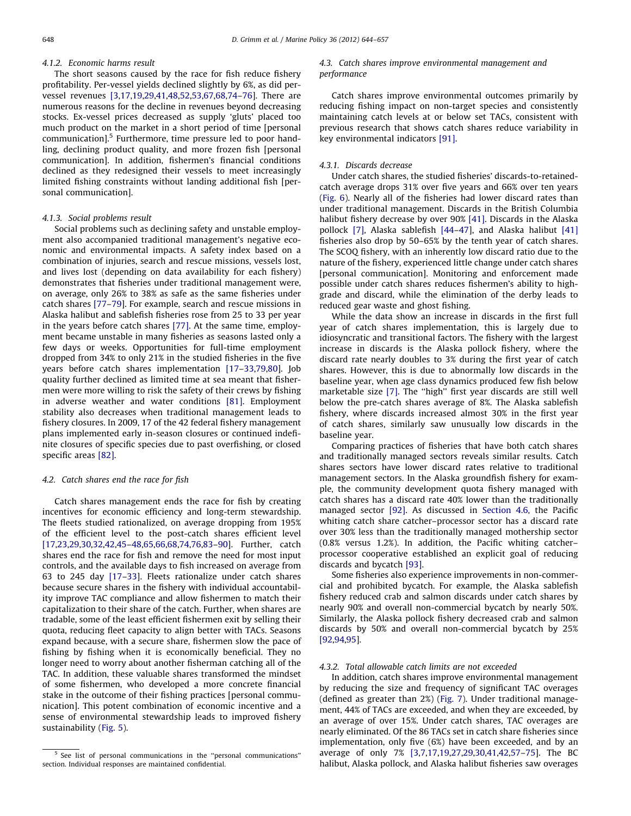# *4.1.2. Economic harms result*

The short seasons caused by the race for fish reduce fishery profitability. Per-vessel yields declined slightly by 6%, as did pervessel revenues [3,17,19,29,41,48,52,53,67,68,74–76]. There are numerous reasons for the decline in revenues beyond decreasing stocks. Ex-vessel prices decreased as supply 'gluts' placed too much product on the market in a short period of time [personal communication].<sup>5</sup> Furthermore, time pressure led to poor handling, declining product quality, and more frozen fish [personal communication]. In addition, fishermen's financial conditions declined as they redesigned their vessels to meet increasingly limited fishing constraints without landing additional fish [personal communication].

#### *4.1.3. Social problems result*

Social problems such as declining safety and unstable employment also accompanied traditional management's negative economic and environmental impacts. A safety index based on a combination of injuries, search and rescue missions, vessels lost, and lives lost (depending on data availability for each fishery) demonstrates that fisheries under traditional management were, on average, only 26% to 38% as safe as the same fisheries under catch shares [77–79]. For example, search and rescue missions in Alaska halibut and sablefish fisheries rose from 25 to 33 per year in the years before catch shares [77]. At the same time, employment became unstable in many fisheries as seasons lasted only a few days or weeks. Opportunities for full-time employment dropped from 34% to only 21% in the studied fisheries in the five years before catch shares implementation [17–33,79,80]. Job quality further declined as limited time at sea meant that fishermen were more willing to risk the safety of their crews by fishing in adverse weather and water conditions [81]. Employment stability also decreases when traditional management leads to fishery closures. In 2009, 17 of the 42 federal fishery management plans implemented early in-season closures or continued indefinite closures of specific species due to past overfishing, or closed specific areas [82].

# *4.2. Catch shares end the race for fish*

Catch shares management ends the race for fish by creating incentives for economic efficiency and long-term stewardship. The fleets studied rationalized, on average dropping from 195% of the efficient level to the post-catch shares efficient level [17,23,29,30,32,42,45–48,65,66,68,74,76,83–90]. Further, catch shares end the race for fish and remove the need for most input controls, and the available days to fish increased on average from 63 to 245 day [17–33]. Fleets rationalize under catch shares because secure shares in the fishery with individual accountability improve TAC compliance and allow fishermen to match their capitalization to their share of the catch. Further, when shares are tradable, some of the least efficient fishermen exit by selling their quota, reducing fleet capacity to align better with TACs. Seasons expand because, with a secure share, fishermen slow the pace of fishing by fishing when it is economically beneficial. They no longer need to worry about another fisherman catching all of the TAC. In addition, these valuable shares transformed the mindset of some fishermen, who developed a more concrete financial stake in the outcome of their fishing practices [personal communication]. This potent combination of economic incentive and a sense of environmental stewardship leads to improved fishery sustainability (Fig. 5).

# *4.3. Catch shares improve environmental management and performance*

Catch shares improve environmental outcomes primarily by reducing fishing impact on non-target species and consistently maintaining catch levels at or below set TACs, consistent with previous research that shows catch shares reduce variability in key environmental indicators [91].

## *4.3.1. Discards decrease*

Under catch shares, the studied fisheries' discards-to-retainedcatch average drops 31% over five years and 66% over ten years (Fig. 6). Nearly all of the fisheries had lower discard rates than under traditional management. Discards in the British Columbia halibut fishery decrease by over 90% [41]. Discards in the Alaska pollock [7], Alaska sablefish [44–47], and Alaska halibut [41] fisheries also drop by 50–65% by the tenth year of catch shares. The SCOQ fishery, with an inherently low discard ratio due to the nature of the fishery, experienced little change under catch shares [personal communication]. Monitoring and enforcement made possible under catch shares reduces fishermen's ability to highgrade and discard, while the elimination of the derby leads to reduced gear waste and ghost fishing.

While the data show an increase in discards in the first full year of catch shares implementation, this is largely due to idiosyncratic and transitional factors. The fishery with the largest increase in discards is the Alaska pollock fishery, where the discard rate nearly doubles to 3% during the first year of catch shares. However, this is due to abnormally low discards in the baseline year, when age class dynamics produced few fish below marketable size [7]. The ''high'' first year discards are still well below the pre-catch shares average of 8%. The Alaska sablefish fishery, where discards increased almost 30% in the first year of catch shares, similarly saw unusually low discards in the baseline year.

Comparing practices of fisheries that have both catch shares and traditionally managed sectors reveals similar results. Catch shares sectors have lower discard rates relative to traditional management sectors. In the Alaska groundfish fishery for example, the community development quota fishery managed with catch shares has a discard rate 40% lower than the traditionally managed sector [92]. As discussed in Section 4.6, the Pacific whiting catch share catcher–processor sector has a discard rate over 30% less than the traditionally managed mothership sector (0.8% versus 1.2%). In addition, the Pacific whiting catcher– processor cooperative established an explicit goal of reducing discards and bycatch [93].

Some fisheries also experience improvements in non-commercial and prohibited bycatch. For example, the Alaska sablefish fishery reduced crab and salmon discards under catch shares by nearly 90% and overall non-commercial bycatch by nearly 50%. Similarly, the Alaska pollock fishery decreased crab and salmon discards by 50% and overall non-commercial bycatch by 25% [92,94,95].

# *4.3.2. Total allowable catch limits are not exceeded*

In addition, catch shares improve environmental management by reducing the size and frequency of significant TAC overages (defined as greater than 2%) (Fig. 7). Under traditional management, 44% of TACs are exceeded, and when they are exceeded, by an average of over 15%. Under catch shares, TAC overages are nearly eliminated. Of the 86 TACs set in catch share fisheries since implementation, only five (6%) have been exceeded, and by an average of only 7% [3,7,17,19,27,29,30,41,42,57–75]. The BC halibut, Alaska pollock, and Alaska halibut fisheries saw overages

<sup>5</sup> See list of personal communications in the ''personal communications'' section. Individual responses are maintained confidential.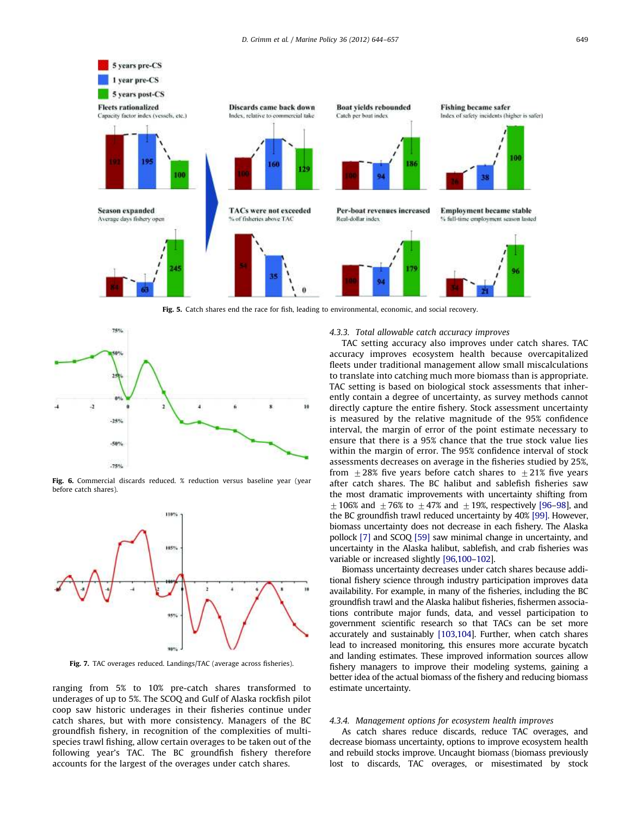

Fig. 5. Catch shares end the race for fish, leading to environmental, economic, and social recovery.



Fig. 6. Commercial discards reduced. % reduction versus baseline year (year before catch shares).



Fig. 7. TAC overages reduced. Landings/TAC (average across fisheries).

ranging from 5% to 10% pre-catch shares transformed to underages of up to 5%. The SCOQ and Gulf of Alaska rockfish pilot coop saw historic underages in their fisheries continue under catch shares, but with more consistency. Managers of the BC groundfish fishery, in recognition of the complexities of multispecies trawl fishing, allow certain overages to be taken out of the following year's TAC. The BC groundfish fishery therefore accounts for the largest of the overages under catch shares.

#### *4.3.3. Total allowable catch accuracy improves*

TAC setting accuracy also improves under catch shares. TAC accuracy improves ecosystem health because overcapitalized fleets under traditional management allow small miscalculations to translate into catching much more biomass than is appropriate. TAC setting is based on biological stock assessments that inherently contain a degree of uncertainty, as survey methods cannot directly capture the entire fishery. Stock assessment uncertainty is measured by the relative magnitude of the 95% confidence interval, the margin of error of the point estimate necessary to ensure that there is a 95% chance that the true stock value lies within the margin of error. The 95% confidence interval of stock assessments decreases on average in the fisheries studied by 25%, from  $\pm 28\%$  five years before catch shares to  $\pm 21\%$  five years after catch shares. The BC halibut and sablefish fisheries saw the most dramatic improvements with uncertainty shifting from  $\pm$  106% and  $\pm$  76% to  $\pm$  47% and  $\pm$  19%, respectively [96–98], and the BC groundfish trawl reduced uncertainty by 40% [99]. However, biomass uncertainty does not decrease in each fishery. The Alaska pollock [7] and SCOQ [59] saw minimal change in uncertainty, and uncertainty in the Alaska halibut, sablefish, and crab fisheries was variable or increased slightly [96,100–102].

Biomass uncertainty decreases under catch shares because additional fishery science through industry participation improves data availability. For example, in many of the fisheries, including the BC groundfish trawl and the Alaska halibut fisheries, fishermen associations contribute major funds, data, and vessel participation to government scientific research so that TACs can be set more accurately and sustainably [103,104]. Further, when catch shares lead to increased monitoring, this ensures more accurate bycatch and landing estimates. These improved information sources allow fishery managers to improve their modeling systems, gaining a better idea of the actual biomass of the fishery and reducing biomass estimate uncertainty.

#### *4.3.4. Management options for ecosystem health improves*

As catch shares reduce discards, reduce TAC overages, and decrease biomass uncertainty, options to improve ecosystem health and rebuild stocks improve. Uncaught biomass (biomass previously lost to discards, TAC overages, or misestimated by stock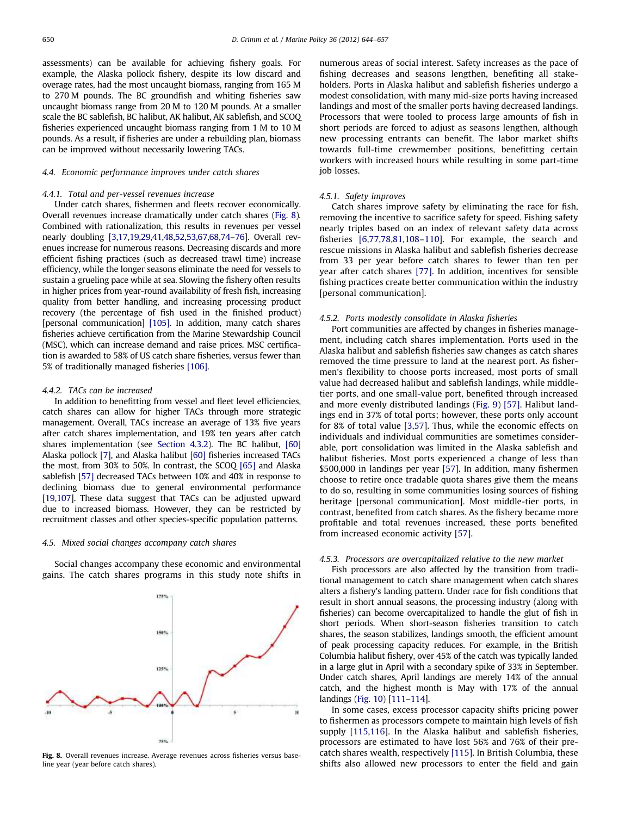assessments) can be available for achieving fishery goals. For example, the Alaska pollock fishery, despite its low discard and overage rates, had the most uncaught biomass, ranging from 165 M to 270 M pounds. The BC groundfish and whiting fisheries saw uncaught biomass range from 20 M to 120 M pounds. At a smaller scale the BC sablefish, BC halibut, AK halibut, AK sablefish, and SCOQ fisheries experienced uncaught biomass ranging from 1 M to 10 M pounds. As a result, if fisheries are under a rebuilding plan, biomass can be improved without necessarily lowering TACs.

#### *4.4. Economic performance improves under catch shares*

## *4.4.1. Total and per-vessel revenues increase*

Under catch shares, fishermen and fleets recover economically. Overall revenues increase dramatically under catch shares (Fig. 8). Combined with rationalization, this results in revenues per vessel nearly doubling [3,17,19,29,41,48,52,53,67,68,74–76]. Overall revenues increase for numerous reasons. Decreasing discards and more efficient fishing practices (such as decreased trawl time) increase efficiency, while the longer seasons eliminate the need for vessels to sustain a grueling pace while at sea. Slowing the fishery often results in higher prices from year-round availability of fresh fish, increasing quality from better handling, and increasing processing product recovery (the percentage of fish used in the finished product) [personal communication] [105]. In addition, many catch shares fisheries achieve certification from the Marine Stewardship Council (MSC), which can increase demand and raise prices. MSC certification is awarded to 58% of US catch share fisheries, versus fewer than 5% of traditionally managed fisheries [106].

## *4.4.2. TACs can be increased*

In addition to benefitting from vessel and fleet level efficiencies, catch shares can allow for higher TACs through more strategic management. Overall, TACs increase an average of 13% five years after catch shares implementation, and 19% ten years after catch shares implementation (see Section 4.3.2). The BC halibut, [60] Alaska pollock [7], and Alaska halibut [60] fisheries increased TACs the most, from 30% to 50%. In contrast, the SCOQ [65] and Alaska sablefish [57] decreased TACs between 10% and 40% in response to declining biomass due to general environmental performance [19,107]. These data suggest that TACs can be adjusted upward due to increased biomass. However, they can be restricted by recruitment classes and other species-specific population patterns.

#### *4.5. Mixed social changes accompany catch shares*

Social changes accompany these economic and environmental gains. The catch shares programs in this study note shifts in



Fig. 8. Overall revenues increase. Average revenues across fisheries versus baseline year (year before catch shares).

numerous areas of social interest. Safety increases as the pace of fishing decreases and seasons lengthen, benefiting all stakeholders. Ports in Alaska halibut and sablefish fisheries undergo a modest consolidation, with many mid-size ports having increased landings and most of the smaller ports having decreased landings. Processors that were tooled to process large amounts of fish in short periods are forced to adjust as seasons lengthen, although new processing entrants can benefit. The labor market shifts towards full-time crewmember positions, benefitting certain workers with increased hours while resulting in some part-time job losses.

## *4.5.1. Safety improves*

Catch shares improve safety by eliminating the race for fish, removing the incentive to sacrifice safety for speed. Fishing safety nearly triples based on an index of relevant safety data across fisheries [6,77,78,81,108–110]. For example, the search and rescue missions in Alaska halibut and sablefish fisheries decrease from 33 per year before catch shares to fewer than ten per year after catch shares [77]. In addition, incentives for sensible fishing practices create better communication within the industry [personal communication].

#### *4.5.2. Ports modestly consolidate in Alaska fisheries*

Port communities are affected by changes in fisheries management, including catch shares implementation. Ports used in the Alaska halibut and sablefish fisheries saw changes as catch shares removed the time pressure to land at the nearest port. As fishermen's flexibility to choose ports increased, most ports of small value had decreased halibut and sablefish landings, while middletier ports, and one small-value port, benefited through increased and more evenly distributed landings (Fig. 9) [57]. Halibut landings end in 37% of total ports; however, these ports only account for 8% of total value [3,57]. Thus, while the economic effects on individuals and individual communities are sometimes considerable, port consolidation was limited in the Alaska sablefish and halibut fisheries. Most ports experienced a change of less than \$500,000 in landings per year [57]. In addition, many fishermen choose to retire once tradable quota shares give them the means to do so, resulting in some communities losing sources of fishing heritage [personal communication]. Most middle-tier ports, in contrast, benefited from catch shares. As the fishery became more profitable and total revenues increased, these ports benefited from increased economic activity [57].

### *4.5.3. Processors are overcapitalized relative to the new market*

Fish processors are also affected by the transition from traditional management to catch share management when catch shares alters a fishery's landing pattern. Under race for fish conditions that result in short annual seasons, the processing industry (along with fisheries) can become overcapitalized to handle the glut of fish in short periods. When short-season fisheries transition to catch shares, the season stabilizes, landings smooth, the efficient amount of peak processing capacity reduces. For example, in the British Columbia halibut fishery, over 45% of the catch was typically landed in a large glut in April with a secondary spike of 33% in September. Under catch shares, April landings are merely 14% of the annual catch, and the highest month is May with 17% of the annual landings (Fig. 10) [111–114].

In some cases, excess processor capacity shifts pricing power to fishermen as processors compete to maintain high levels of fish supply [115,116]. In the Alaska halibut and sablefish fisheries, processors are estimated to have lost 56% and 76% of their precatch shares wealth, respectively [115]. In British Columbia, these shifts also allowed new processors to enter the field and gain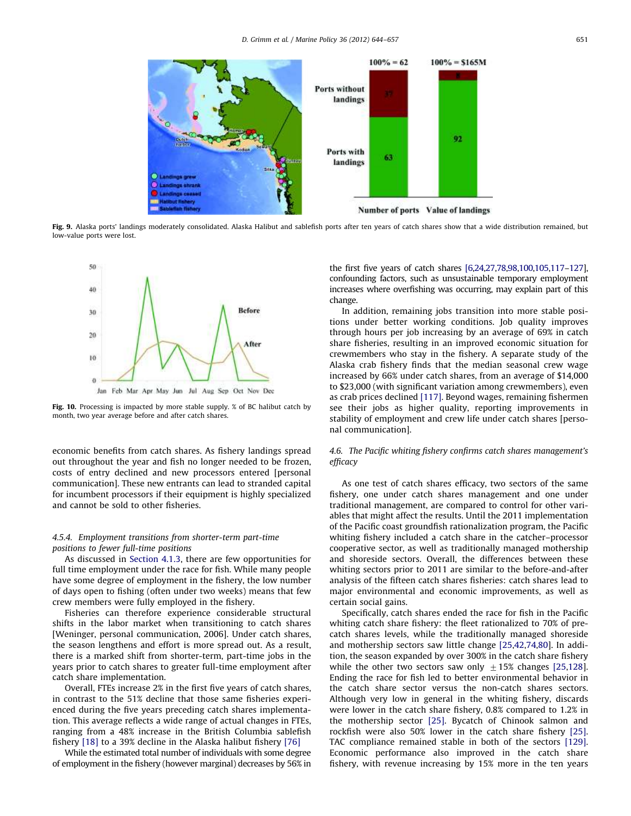

Fig. 9. Alaska ports' landings moderately consolidated. Alaska Halibut and sablefish ports after ten years of catch shares show that a wide distribution remained, but low-value ports were lost.



Fig. 10. Processing is impacted by more stable supply. % of BC halibut catch by month, two year average before and after catch shares.

economic benefits from catch shares. As fishery landings spread out throughout the year and fish no longer needed to be frozen, costs of entry declined and new processors entered [personal communication]. These new entrants can lead to stranded capital for incumbent processors if their equipment is highly specialized and cannot be sold to other fisheries.

# *4.5.4. Employment transitions from shorter-term part-time positions to fewer full-time positions*

As discussed in Section 4.1.3, there are few opportunities for full time employment under the race for fish. While many people have some degree of employment in the fishery, the low number of days open to fishing (often under two weeks) means that few crew members were fully employed in the fishery.

Fisheries can therefore experience considerable structural shifts in the labor market when transitioning to catch shares [Weninger, personal communication, 2006]. Under catch shares, the season lengthens and effort is more spread out. As a result, there is a marked shift from shorter-term, part-time jobs in the years prior to catch shares to greater full-time employment after catch share implementation.

Overall, FTEs increase 2% in the first five years of catch shares, in contrast to the 51% decline that those same fisheries experienced during the five years preceding catch shares implementation. This average reflects a wide range of actual changes in FTEs, ranging from a 48% increase in the British Columbia sablefish fishery [18] to a 39% decline in the Alaska halibut fishery [76]

While the estimated total number of individuals with some degree of employment in the fishery (however marginal) decreases by 56% in the first five years of catch shares [6,24,27,78,98,100,105,117–127], confounding factors, such as unsustainable temporary employment increases where overfishing was occurring, may explain part of this change.

In addition, remaining jobs transition into more stable positions under better working conditions. Job quality improves through hours per job increasing by an average of 69% in catch share fisheries, resulting in an improved economic situation for crewmembers who stay in the fishery. A separate study of the Alaska crab fishery finds that the median seasonal crew wage increased by 66% under catch shares, from an average of \$14,000 to \$23,000 (with significant variation among crewmembers), even as crab prices declined [117]. Beyond wages, remaining fishermen see their jobs as higher quality, reporting improvements in stability of employment and crew life under catch shares [personal communication].

# *4.6. The Pacific whiting fishery confirms catch shares management's efficacy*

As one test of catch shares efficacy, two sectors of the same fishery, one under catch shares management and one under traditional management, are compared to control for other variables that might affect the results. Until the 2011 implementation of the Pacific coast groundfish rationalization program, the Pacific whiting fishery included a catch share in the catcher–processor cooperative sector, as well as traditionally managed mothership and shoreside sectors. Overall, the differences between these whiting sectors prior to 2011 are similar to the before-and-after analysis of the fifteen catch shares fisheries: catch shares lead to major environmental and economic improvements, as well as certain social gains.

Specifically, catch shares ended the race for fish in the Pacific whiting catch share fishery: the fleet rationalized to 70% of precatch shares levels, while the traditionally managed shoreside and mothership sectors saw little change [25,42,74,80]. In addition, the season expanded by over 300% in the catch share fishery while the other two sectors saw only  $\pm$  15% changes [25,128]. Ending the race for fish led to better environmental behavior in the catch share sector versus the non-catch shares sectors. Although very low in general in the whiting fishery, discards were lower in the catch share fishery, 0.8% compared to 1.2% in the mothership sector [25]. Bycatch of Chinook salmon and rockfish were also 50% lower in the catch share fishery [25]. TAC compliance remained stable in both of the sectors [129]. Economic performance also improved in the catch share fishery, with revenue increasing by 15% more in the ten years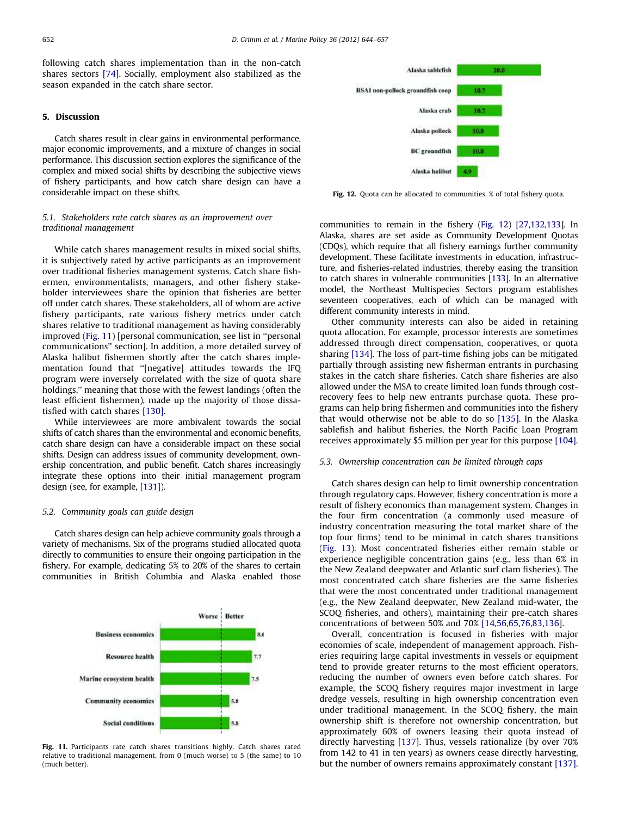following catch shares implementation than in the non-catch shares sectors [74]. Socially, employment also stabilized as the season expanded in the catch share sector.

# 5. Discussion

Catch shares result in clear gains in environmental performance, major economic improvements, and a mixture of changes in social performance. This discussion section explores the significance of the complex and mixed social shifts by describing the subjective views of fishery participants, and how catch share design can have a considerable impact on these shifts.

# *5.1. Stakeholders rate catch shares as an improvement over traditional management*

While catch shares management results in mixed social shifts, it is subjectively rated by active participants as an improvement over traditional fisheries management systems. Catch share fishermen, environmentalists, managers, and other fishery stakeholder interviewees share the opinion that fisheries are better off under catch shares. These stakeholders, all of whom are active fishery participants, rate various fishery metrics under catch shares relative to traditional management as having considerably improved (Fig. 11) [personal communication, see list in ''personal communications'' section]. In addition, a more detailed survey of Alaska halibut fishermen shortly after the catch shares implementation found that ''[negative] attitudes towards the IFQ program were inversely correlated with the size of quota share holdings,'' meaning that those with the fewest landings (often the least efficient fishermen), made up the majority of those dissatisfied with catch shares [130].

While interviewees are more ambivalent towards the social shifts of catch shares than the environmental and economic benefits, catch share design can have a considerable impact on these social shifts. Design can address issues of community development, ownership concentration, and public benefit. Catch shares increasingly integrate these options into their initial management program design (see, for example, [131]).

## *5.2. Community goals can guide design*

Catch shares design can help achieve community goals through a variety of mechanisms. Six of the programs studied allocated quota directly to communities to ensure their ongoing participation in the fishery. For example, dedicating 5% to 20% of the shares to certain communities in British Columbia and Alaska enabled those



Fig. 11. Participants rate catch shares transitions highly. Catch shares rated relative to traditional management, from 0 (much worse) to 5 (the same) to 10 (much better).



Fig. 12. Quota can be allocated to communities. % of total fishery quota.

communities to remain in the fishery (Fig. 12) [27,132,133]. In Alaska, shares are set aside as Community Development Quotas (CDQs), which require that all fishery earnings further community development. These facilitate investments in education, infrastructure, and fisheries-related industries, thereby easing the transition to catch shares in vulnerable communities [133]. In an alternative model, the Northeast Multispecies Sectors program establishes seventeen cooperatives, each of which can be managed with different community interests in mind.

Other community interests can also be aided in retaining quota allocation. For example, processor interests are sometimes addressed through direct compensation, cooperatives, or quota sharing [134]. The loss of part-time fishing jobs can be mitigated partially through assisting new fisherman entrants in purchasing stakes in the catch share fisheries. Catch share fisheries are also allowed under the MSA to create limited loan funds through costrecovery fees to help new entrants purchase quota. These programs can help bring fishermen and communities into the fishery that would otherwise not be able to do so [135]. In the Alaska sablefish and halibut fisheries, the North Pacific Loan Program receives approximately \$5 million per year for this purpose [104].

#### *5.3. Ownership concentration can be limited through caps*

Catch shares design can help to limit ownership concentration through regulatory caps. However, fishery concentration is more a result of fishery economics than management system. Changes in the four firm concentration (a commonly used measure of industry concentration measuring the total market share of the top four firms) tend to be minimal in catch shares transitions (Fig. 13). Most concentrated fisheries either remain stable or experience negligible concentration gains (e.g., less than 6% in the New Zealand deepwater and Atlantic surf clam fisheries). The most concentrated catch share fisheries are the same fisheries that were the most concentrated under traditional management (e.g., the New Zealand deepwater, New Zealand mid-water, the SCOQ fisheries, and others), maintaining their pre-catch shares concentrations of between 50% and 70% [14,56,65,76,83,136].

Overall, concentration is focused in fisheries with major economies of scale, independent of management approach. Fisheries requiring large capital investments in vessels or equipment tend to provide greater returns to the most efficient operators, reducing the number of owners even before catch shares. For example, the SCOQ fishery requires major investment in large dredge vessels, resulting in high ownership concentration even under traditional management. In the SCOQ fishery, the main ownership shift is therefore not ownership concentration, but approximately 60% of owners leasing their quota instead of directly harvesting [137]. Thus, vessels rationalize (by over 70% from 142 to 41 in ten years) as owners cease directly harvesting, but the number of owners remains approximately constant [137].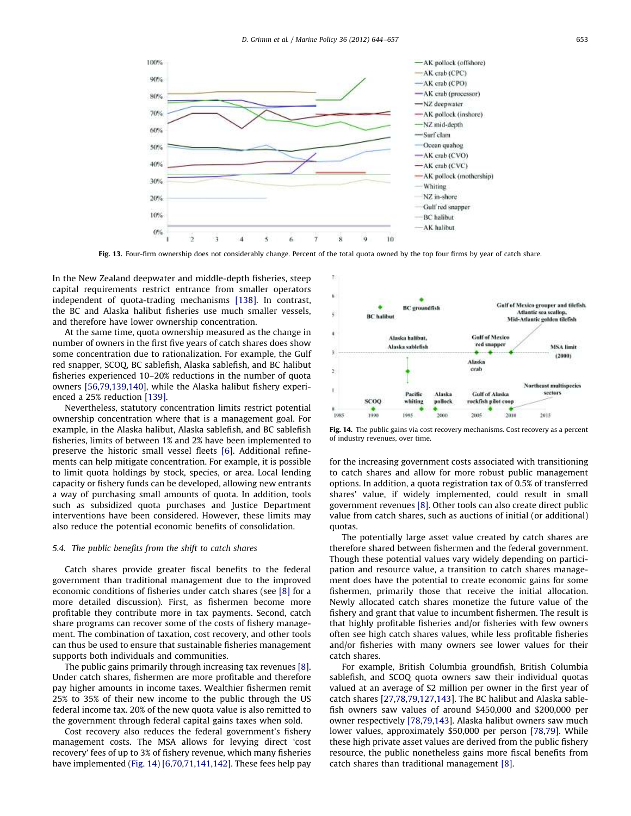

Fig. 13. Four-firm ownership does not considerably change. Percent of the total quota owned by the top four firms by year of catch share.

In the New Zealand deepwater and middle-depth fisheries, steep capital requirements restrict entrance from smaller operators independent of quota-trading mechanisms [138]. In contrast, the BC and Alaska halibut fisheries use much smaller vessels, and therefore have lower ownership concentration.

At the same time, quota ownership measured as the change in number of owners in the first five years of catch shares does show some concentration due to rationalization. For example, the Gulf red snapper, SCOQ, BC sablefish, Alaska sablefish, and BC halibut fisheries experienced 10–20% reductions in the number of quota owners [56,79,139,140], while the Alaska halibut fishery experienced a 25% reduction [139].

Nevertheless, statutory concentration limits restrict potential ownership concentration where that is a management goal. For example, in the Alaska halibut, Alaska sablefish, and BC sablefish fisheries, limits of between 1% and 2% have been implemented to preserve the historic small vessel fleets [6]. Additional refinements can help mitigate concentration. For example, it is possible to limit quota holdings by stock, species, or area. Local lending capacity or fishery funds can be developed, allowing new entrants a way of purchasing small amounts of quota. In addition, tools such as subsidized quota purchases and Justice Department interventions have been considered. However, these limits may also reduce the potential economic benefits of consolidation.

## *5.4. The public benefits from the shift to catch shares*

Catch shares provide greater fiscal benefits to the federal government than traditional management due to the improved economic conditions of fisheries under catch shares (see [8] for a more detailed discussion). First, as fishermen become more profitable they contribute more in tax payments. Second, catch share programs can recover some of the costs of fishery management. The combination of taxation, cost recovery, and other tools can thus be used to ensure that sustainable fisheries management supports both individuals and communities.

The public gains primarily through increasing tax revenues [8]. Under catch shares, fishermen are more profitable and therefore pay higher amounts in income taxes. Wealthier fishermen remit 25% to 35% of their new income to the public through the US federal income tax. 20% of the new quota value is also remitted to the government through federal capital gains taxes when sold.

Cost recovery also reduces the federal government's fishery management costs. The MSA allows for levying direct 'cost recovery' fees of up to 3% of fishery revenue, which many fisheries have implemented (Fig. 14) [6,70,71,141,142]. These fees help pay



Fig. 14. The public gains via cost recovery mechanisms. Cost recovery as a percent of industry revenues, over time.

for the increasing government costs associated with transitioning to catch shares and allow for more robust public management options. In addition, a quota registration tax of 0.5% of transferred shares' value, if widely implemented, could result in small government revenues [8]. Other tools can also create direct public value from catch shares, such as auctions of initial (or additional) quotas.

The potentially large asset value created by catch shares are therefore shared between fishermen and the federal government. Though these potential values vary widely depending on participation and resource value, a transition to catch shares management does have the potential to create economic gains for some fishermen, primarily those that receive the initial allocation. Newly allocated catch shares monetize the future value of the fishery and grant that value to incumbent fishermen. The result is that highly profitable fisheries and/or fisheries with few owners often see high catch shares values, while less profitable fisheries and/or fisheries with many owners see lower values for their catch shares.

For example, British Columbia groundfish, British Columbia sablefish, and SCOQ quota owners saw their individual quotas valued at an average of \$2 million per owner in the first year of catch shares [27,78,79,127,143]. The BC halibut and Alaska sablefish owners saw values of around \$450,000 and \$200,000 per owner respectively [78,79,143]. Alaska halibut owners saw much lower values, approximately \$50,000 per person [78,79]. While these high private asset values are derived from the public fishery resource, the public nonetheless gains more fiscal benefits from catch shares than traditional management [8].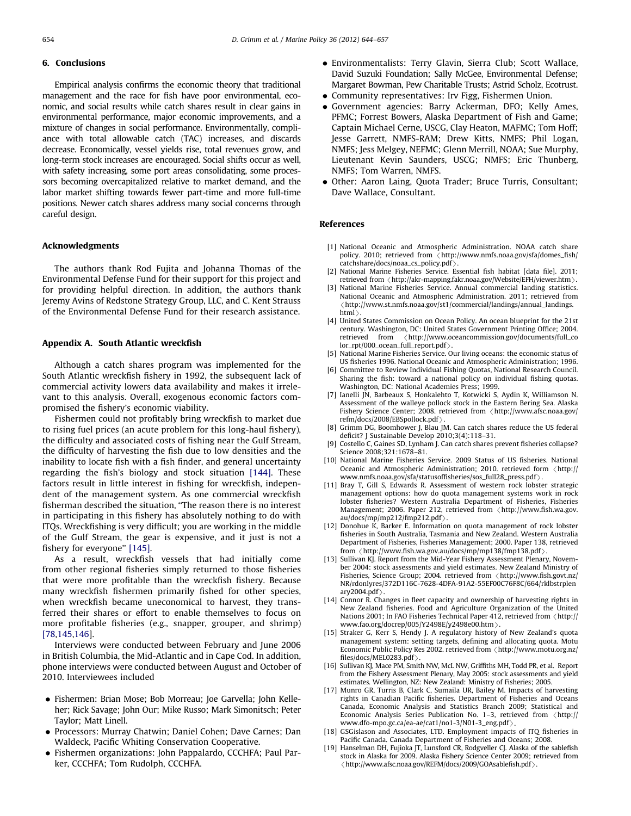# 6. Conclusions

Empirical analysis confirms the economic theory that traditional management and the race for fish have poor environmental, economic, and social results while catch shares result in clear gains in environmental performance, major economic improvements, and a mixture of changes in social performance. Environmentally, compliance with total allowable catch (TAC) increases, and discards decrease. Economically, vessel yields rise, total revenues grow, and long-term stock increases are encouraged. Social shifts occur as well, with safety increasing, some port areas consolidating, some processors becoming overcapitalized relative to market demand, and the labor market shifting towards fewer part-time and more full-time positions. Newer catch shares address many social concerns through careful design.

# Acknowledgments

The authors thank Rod Fujita and Johanna Thomas of the Environmental Defense Fund for their support for this project and for providing helpful direction. In addition, the authors thank Jeremy Avins of Redstone Strategy Group, LLC, and C. Kent Strauss of the Environmental Defense Fund for their research assistance.

# Appendix A. South Atlantic wreckfish

Although a catch shares program was implemented for the South Atlantic wreckfish fishery in 1992, the subsequent lack of commercial activity lowers data availability and makes it irrelevant to this analysis. Overall, exogenous economic factors compromised the fishery's economic viability.

Fishermen could not profitably bring wreckfish to market due to rising fuel prices (an acute problem for this long-haul fishery), the difficulty and associated costs of fishing near the Gulf Stream, the difficulty of harvesting the fish due to low densities and the inability to locate fish with a fish finder, and general uncertainty regarding the fish's biology and stock situation [144]. These factors result in little interest in fishing for wreckfish, independent of the management system. As one commercial wreckfish fisherman described the situation, ''The reason there is no interest in participating in this fishery has absolutely nothing to do with ITQs. Wreckfishing is very difficult; you are working in the middle of the Gulf Stream, the gear is expensive, and it just is not a fishery for everyone'' [145].

As a result, wreckfish vessels that had initially come from other regional fisheries simply returned to those fisheries that were more profitable than the wreckfish fishery. Because many wreckfish fishermen primarily fished for other species, when wreckfish became uneconomical to harvest, they transferred their shares or effort to enable themselves to focus on more profitable fisheries (e.g., snapper, grouper, and shrimp) [78,145,146].

Interviews were conducted between February and June 2006 in British Columbia, the Mid-Atlantic and in Cape Cod. In addition, phone interviews were conducted between August and October of 2010. Interviewees included

- Fishermen: Brian Mose; Bob Morreau; Joe Garvella; John Kelleher; Rick Savage; John Our; Mike Russo; Mark Simonitsch; Peter Taylor; Matt Linell.
- Processors: Murray Chatwin; Daniel Cohen; Dave Carnes; Dan Waldeck, Pacific Whiting Conservation Cooperative.
- Fishermen organizations: John Pappalardo, CCCHFA; Paul Parker, CCCHFA; Tom Rudolph, CCCHFA.
- Environmentalists: Terry Glavin, Sierra Club; Scott Wallace, David Suzuki Foundation; Sally McGee, Environmental Defense; Margaret Bowman, Pew Charitable Trusts; Astrid Scholz, Ecotrust.
- Community representatives: Irv Figg, Fishermen Union.
- Government agencies: Barry Ackerman, DFO; Kelly Ames, PFMC; Forrest Bowers, Alaska Department of Fish and Game; Captain Michael Cerne, USCG, Clay Heaton, MAFMC; Tom Hoff; Jesse Garrett, NMFS-RAM; Drew Kitts, NMFS; Phil Logan, NMFS; Jess Melgey, NEFMC; Glenn Merrill, NOAA; Sue Murphy, Lieutenant Kevin Saunders, USCG; NMFS; Eric Thunberg, NMFS; Tom Warren, NMFS.
- Other: Aaron Laing, Quota Trader; Bruce Turris, Consultant; Dave Wallace, Consultant.

# References

- [1] National Oceanic and Atmospheric Administration. NOAA catch share policy. 2010; retrieved from <http://www.nmfs.noaa.gov/sfa/domes\_fish/ catchshare/docs/noaa\_cs\_policy.pdf>.
- [2] National Marine Fisheries Service. Essential fish habitat [data file]. 2011; retrieved from  $\langle$ http://akr-mapping.fakr.noaa.gov/Website/EFH/viewer.htm $\rangle$ .
- [3] National Marine Fisheries Service. Annual commercial landing statistics. National Oceanic and Atmospheric Administration. 2011; retrieved from /http://www.st.nmfs.noaa.gov/st1/commercial/landings/annual\_landings.  $html$
- [4] United States Commission on Ocean Policy. An ocean blueprint for the 21st century. Washington, DC: United States Government Printing Office; 2004. retrieved from  $\langle$ http://www.oceancommission.gov/documents/full\_co  $lor\_rpt/000\_ocean\_full\_report.pdf$ .
- [5] National Marine Fisheries Service. Our living oceans: the economic status of US fisheries 1996. National Oceanic and Atmospheric Administration; 1996.
- [6] Committee to Review Individual Fishing Quotas, National Research Council. Sharing the fish: toward a national policy on individual fishing quotas. Washington, DC: National Academies Press; 1999.
- [7] Ianelli JN, Barbeaux S, Honkalehto T, Kotwicki S, Aydin K, Williamson N. Assessment of the walleye pollock stock in the Eastern Bering Sea. Alaska Fishery Science Center; 2008. retrieved from <http://www.afsc.noaa.gov/ refm/docs/2008/EBSpollock.pdf>
- [8] Grimm DG, Boomhower J, Blau JM. Can catch shares reduce the US federal deficit? J Sustainable Develop 2010;3(4):118–31.
- [9] Costello C, Gaines SD, Lynham J. Can catch shares prevent fisheries collapse? Science 2008;321:1678–81.
- [10] National Marine Fisheries Service. 2009 Status of US fisheries. National Oceanic and Atmospheric Administration; 2010. retrieved form  $\langle$ http:// www.nmfs.noaa.gov/sfa/statusoffisheries/sos\_full28\_press.pdf >
- [11] Bray T, Gill S, Edwards R. Assessment of western rock lobster strategic management options: how do quota management systems work in rock lobster fisheries? Western Australia Department of Fisheries, Fisheries Management; 2006. Paper 212, retrieved from <http://www.fish.wa.gov. au/docs/mp/mp212/fmp212.pdf $>$
- [12] Donohue K, Barker E. Information on quota management of rock lobster fisheries in South Australia, Tasmania and New Zealand. Western Australia Department of Fisheries, Fisheries Management; 2000. Paper 138, retrieved from  $\langle$  http://www.fish.wa.gov.au/docs/mp/mp138/fmp138.pdf $\rangle$ .
- [13] Sullivan KJ. Report from the Mid-Year Fishery Assessment Plenary, November 2004: stock assessments and yield estimates. New Zealand Ministry of Fisheries, Science Group; 2004. retrieved from <http://www.fish.govt.nz/ NR/rdonlyres/372D116C-7628-4DFA-91A2-55EF00C76F8C/664/rklbstrplen ary2004.pdf $>$ .
- [14] Connor R. Changes in fleet capacity and ownership of harvesting rights in New Zealand fisheries. Food and Agriculture Organization of the United Nations 2001; In FAO Fisheries Technical Paper 412, retrieved from  $\langle$  http:// www.fao.org/docrep/005/Y2498E/y2498e00.htm $\rangle$
- [15] Straker G, Kerr S, Hendy J. A regulatory history of New Zealand's quota management system: setting targets, defining and allocating quota. Motu Economic Public Policy Res 2002. retrieved from  $\langle$  http://www.motu.org.nz/  $files/docs/MEL0283.pdf$
- [16] Sullivan KJ, Mace PM, Smith NW, McL NW, Griffiths MH, Todd PR, et al. Report from the Fishery Assessment Plenary, May 2005: stock assessments and yield estimates. Wellington, NZ: New Zealand: Ministry of Fisheries; 2005.
- [17] Munro GR, Turris B, Clark C, Sumaila UR, Bailey M. Impacts of harvesting rights in Canadian Pacific fisheries. Department of Fisheries and Oceans Canada, Economic Analysis and Statistics Branch 2009; Statistical and Economic Analysis Series Publication No. 1-3, retrieved from  $\langle$ http:// www.dfo-mpo.gc.ca/ea-ae/cat1/no1-3/N01-3\_eng.pdf>.
- [18] GSGislason and Associates, LTD. Employment impacts of ITQ fisheries in Pacific Canada. Canada Department of Fisheries and Oceans; 2008.
- [19] Hanselman DH, Fujioka JT, Lunsford CR, Rodgveller CJ. Alaska of the sablefish stock in Alaska for 2009. Alaska Fishery Science Center 2009; retrieved from  $\langle$ http://www.afsc.noaa.gov/REFM/docs/2009/GOAsablefish.pdf $\rangle$ .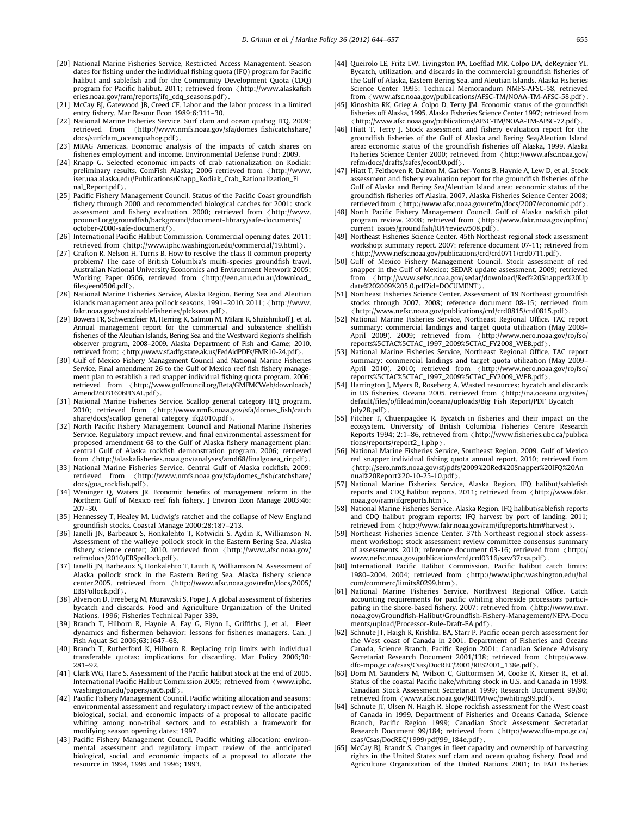- [20] National Marine Fisheries Service, Restricted Access Management. Season dates for fishing under the individual fishing quota (IFQ) program for Pacific halibut and sablefish and for the Community Development Quota (CDQ) program for Pacific halibut. 2011; retrieved from  $\langle$  http://www.alaskafish eries.noaa.gov/ram/reports/ifq\_cdq\_seasons.pdf $\rangle$ .
- [21] McCay BJ, Gatewood JB, Creed CF. Labor and the labor process in a limited entry fishery. Mar Resour Econ 1989;6:311–30.
- [22] National Marine Fisheries Service. Surf clam and ocean quahog ITQ. 2009; retrieved from  $\langle$ http://www.nmfs.noaa.gov/sfa/domes\_fish/catchshare/  $\text{docs/surfclam\_oceanquahog.pdf}$
- [23] MRAG Americas. Economic analysis of the impacts of catch shares on fisheries employment and income. Environmental Defense Fund; 2009.
- [24] Knapp G. Selected economic impacts of crab rationalization on Kodiak: preliminary results. ComFish Alaska; 2006 retrieved from <http://www. iser.uaa.alaska.edu/Publications/Knapp\_Kodiak\_Crab\_Rationalization\_Fi  $nal\_Report.pdf$
- [25] Pacific Fishery Management Council. Status of the Pacific Coast groundfish fishery through 2000 and recommended biological catches for 2001: stock assessment and fishery evaluation. 2000; retrieved from  $\langle$  http://www. pcouncil.org/groundfish/background/document-library/safe-documents/ october-2000-safe-document $\rangle$ .
- [26] International Pacific Halibut Commission. Commercial opening dates. 2011; retrieved from  $\langle$  http://www.iphc.washington.edu/commercial/19.html  $\rangle$ .
- [27] Grafton R, Nelson H, Turris B. How to resolve the class II common property problem? The case of British Columbia's multi-species groundfish trawl. Australian National University Economics and Environment Network 2005; Working Paper 0506, retrieved from <http://een.anu.edu.au/download\_ files/een0506.pdf $\rangle$
- [28] National Marine Fisheries Service, Alaska Region. Bering Sea and Aleutian islands management area pollock seasons,  $1991-2010$ .  $2011$ ;  $\langle$  http://www.  $fakr.noaa.gov/sustainablefisheries/plckseas.pdf$
- [29] Bowers FR, Schwenzfeier M, Herring K, Salmon M, Milani K, Shaishnikoff J, et al. Annual management report for the commercial and subsistence shellfish fisheries of the Aleutian Islands, Bering Sea and the Westward Region's shellfish observer program, 2008–2009. Alaska Department of Fish and Game; 2010. retrieved from:  $\langle$  http://www.sf.adfg.state.ak.us/FedAidPDFs/FMR10-24.pdf $\rangle$ .
- [30] Gulf of Mexico Fishery Management Council and National Marine Fisheries Service. Final amendment 26 to the Gulf of Mexico reef fish fishery management plan to establish a red snapper individual fishing quota program. 2006; retrieved from <http://www.gulfcouncil.org/Beta/GMFMCWeb/downloads/  $A$ mend26031606FINAL.pdf $\rangle$ .
- [31] National Marine Fisheries Service. Scallop general category IFQ program. 2010; retrieved from <http://www.nmfs.noaa.gov/sfa/domes\_fish/catch share/docs/scallop\_general\_category\_ifq2010.pdf>
- [32] North Pacific Fishery Management Council and National Marine Fisheries Service. Regulatory impact review, and final environmental assessment for proposed amendment 68 to the Gulf of Alaska fishery management plan: central Gulf of Alaska rockfish demonstration program. 2006; retrieved from  $\langle$  http://alaskafisheries.noaa.gov/analyses/amd68/finalgoaea\_rir.pdf $\rangle$ .
- [33] National Marine Fisheries Service. Central Gulf of Alaska rockfish. 2009; retrieved from  $\langle$ http://www.nmfs.noaa.gov/sfa/domes\_fish/catchshare/ docs/goa\_rockfish.pdf>
- [34] Weninger Q, Waters JR. Economic benefits of management reform in the Northern Gulf of Mexico reef fish fishery. J Environ Econ Manage 2003;46: 207–30.
- [35] Hennessey T, Healey M. Ludwig's ratchet and the collapse of New England groundfish stocks. Coastal Manage 2000;28:187–213.
- [36] Ianelli JN, Barbeaux S, Honkalehto T, Kotwicki S, Aydin K, Williamson N. Assessment of the walleye pollock stock in the Eastern Bering Sea. Alaska fishery science center; 2010. retrieved from  $\langle$  http://www.afsc.noaa.gov/ refm/docs/2010/EBSpollock.pdf>.
- [37] Ianelli JN, Barbeaux S, Honkalehto T, Lauth B, Williamson N. Assessment of Alaska pollock stock in the Eastern Bering Sea. Alaska fishery science center.2005. retrieved from  $\langle$ http://www.afsc.noaa.gov/refm/docs/2005/  $EBSPollock.pdf$ .
- [38] Alverson D, Freeberg M, Murawski S, Pope J. A global assessment of fisheries bycatch and discards. Food and Agriculture Organization of the United Nations. 1996; Fisheries Technical Paper 339.
- [39] Branch T, Hilborn R, Haynie A, Fay G, Flynn L, Griffiths J, et al. Fleet dynamics and fishermen behavior: lessons for fisheries managers. Can. J Fish Aquat Sci 2006;63:1647–68.
- [40] Branch T, Rutherford K, Hilborn R. Replacing trip limits with individual transferable quotas: implications for discarding. Mar Policy 2006;30: 281–92.
- [41] Clark WG, Hare S. Assessment of the Pacific halibut stock at the end of 2005. International Pacific Halibut Commission 2005; retrieved from  $\langle$  www.iphc. washington.edu/papers/sa05.pdf $\mathcal{\rangle}$
- [42] Pacific Fishery Management Council. Pacific whiting allocation and seasons: environmental assessment and regulatory impact review of the anticipated biological, social, and economic impacts of a proposal to allocate pacific whiting among non-tribal sectors and to establish a framework for modifying season opening dates; 1997.
- [43] Pacific Fishery Management Council. Pacific whiting allocation: environmental assessment and regulatory impact review of the anticipated biological, social, and economic impacts of a proposal to allocate the resource in 1994, 1995 and 1996; 1993.
- [44] Queirolo LE, Fritz LW, Livingston PA, Loefflad MR, Colpo DA, deReynier YL. Bycatch, utilization, and discards in the commercial groundfish fisheries of the Gulf of Alaska, Eastern Bering Sea, and Aleutian Islands. Alaska Fisheries Science Center 1995; Technical Memorandum NMFS-AFSC-58, retrieved from < www.afsc.noaa.gov/publications/AFSC-TM/NOAA-TM-AFSC-58.pdf >.
- [45] Kinoshita RK, Grieg A, Colpo D, Terry JM. Economic status of the groundfish fisheries off Alaska, 1995. Alaska Fisheries Science Center 1997; retrieved from (http://www.afsc.noaa.gov/publications/AFSC-TM/NOAA-TM-AFSC-72.pdf).
- [46] Hiatt T, Terry J. Stock assessment and fishery evaluation report for the groundfish fisheries of the Gulf of Alaska and Bering Sea/Aleutian Island area: economic status of the groundfish fisheries off Alaska, 1999. Alaska Fisheries Science Center 2000; retrieved from <http://www.afsc.noaa.gov/ refm/docs/drafts/safes/econ00.pdf>.
- [47] Hiatt T, Felthoven R, Dalton M, Garber-Yonts B, Haynie A, Lew D, et al. Stock assessment and fishery evaluation report for the groundfish fisheries of the Gulf of Alaska and Bering Sea/Aleutian Island area: economic status of the groundfish fisheries off Alaska, 2007. Alaska Fisheries Science Center 2008; retrieved from  $\langle$  http://www.afsc.noaa.gov/refm/docs/2007/economic.pdf $\rangle$ .
- [48] North Pacific Fishery Management Council. Gulf of Alaska rockfish pilot program review. 2008; retrieved from <http://www.fakr.noaa.gov/npfmc/ current\_issues/groundfish/RPPreview508.pdf >.
- [49] Northeast Fisheries Science Center. 45th Northeast regional stock assessment workshop: summary report. 2007; reference document 07-11; retrieved from  $\langle$  http://www.nefsc.noaa.gov/publications/crd/crd0711/crd0711.pdf $\rangle$ .
- [50] Gulf of Mexico Fishery Management Council. Stock assessment of red snapper in the Gulf of Mexico: SEDAR update assessment. 2009; retrieved from <http://www.sefsc.noaa.gov/sedar/download/Red%20Snapper%20Up date%202009%205.0.pdf?id=DOCUMENT >.
- [51] Northeast Fisheries Science Center. Assessment of 19 Northeast groundfish stocks through 2007. 2008; reference document 08-15; retrieved from  $\langle$  http://www.nefsc.noaa.gov/publications/crd/crd0815/crd0815.pdf $\rangle$
- [52] National Marine Fisheries Service, Northeast Regional Office. TAC report summary: commercial landings and target quota utilization (May 2008– April 2009). 2009; retrieved from  $\langle$ http://www.nero.noaa.gov/ro/fso/ reports%5CTAC%5CTAC\_1997\_2009%5CTAC\_FY2008\_WEB.pdfS.
- [53] National Marine Fisheries Service, Northeast Regional Office. TAC report summary: commercial landings and target quota utilization (May 2009– April 2010). 2010; retrieved from <http://www.nero.noaa.gov/ro/fso/ reports%5CTAC%5CTAC\_1997\_2009%5CTAC\_FY2009\_WEB.pdf>
- [54] Harrington J, Myers R, Roseberg A. Wasted resources: bycatch and discards in US fisheries. Oceana 2005. retrieved from  $\langle$ http://na.oceana.org/sites/ default/files/o/fileadmin/oceana/uploads/Big\_Fish\_Report/PDF\_Bycatch\_ July28.pdf $\rangle$
- [55] Pitcher T, Chuenpagdee R. Bycatch in fisheries and their impact on the ecosystem. University of British Columbia Fisheries Centre Research Reports 1994; 2:1-86, retrieved from <http://www.fisheries.ubc.ca/publica tions/reports/report2\_1.php  $\rangle$ .
- [56] National Marine Fisheries Service, Southeast Region. 2009. Gulf of Mexico red snapper individual fishing quota annual report. 2010; retrieved from /http://sero.nmfs.noaa.gov/sf/pdfs/2009%20Red%20Snapper%20IFQ%20An nual%20Report%20-10-25-10.pdf>.
- [57] National Marine Fisheries Service, Alaska Region. IFQ halibut/sablefish reports and CDQ halibut reports. 2011; retrieved from <http://www.fakr.  $noa$ a.gov/ram/ifqreports.htm $\rangle$ .
- [58] National Marine Fisheries Service, Alaska Region. IFQ halibut/sablefish reports and CDQ halibut program reports: IFQ harvest by port of landing. 2011; retrieved from  $\langle$  http://www.fakr.noaa.gov/ram/ifqreports.htm#harvest $\rangle$ .
- [59] Northeast Fisheries Science Center. 37th Northeast regional stock assessment workshop: stock assessment review committee consensus summary of assessments. 2010: reference document 03-16; retrieved from  $\langle$  http:// www.nefsc.noaa.gov/publications/crd/crd0316/saw37csa.pdf $\rangle$
- [60] International Pacific Halibut Commission. Pacific halibut catch limits: 1980–2004. 2004; retrieved from <http://www.iphc.washington.edu/hal com/commerc/limits80299.htm>.
- [61] National Marine Fisheries Service, Northwest Regional Office. Catch accounting requirements for pacific whiting shoreside processors participating in the shore-based fishery. 2007; retrieved from  $\langle$ http://www.nwr. noaa.gov/Groundfish-Halibut/Groundfish-Fishery-Management/NEPA-Docu ments/upload/Processor-Rule-Draft-EA.pdf >
- [62] Schnute JT, Haigh R, Krishka, BA, Starr P. Pacific ocean perch assessment for the West coast of Canada in 2001. Department of Fisheries and Oceans Canada, Science Branch, Pacific Region 2001; Canadian Science Advisory Secretariat Research Document 2001/138; retrieved from <http://www. dfo-mpo.gc.ca/csas/Csas/DocREC/2001/RES2001\_138e.pdf >.
- [63] Dorn M, Saunders M, Wilson C, Guttormsen M, Cooke K, Kieser R., et al. Status of the coastal Pacific hake/whiting stock in U.S. and Canada in 1998. Canadian Stock Assessment Secretariat 1999; Research Document 99/90; retrieved from  $\langle$  www.afsc.noaa.gov/REFM/wc/pwhiting99.pdf $\rangle$ .
- [64] Schnute JT, Olsen N, Haigh R. Slope rockfish assessment for the West coast of Canada in 1999. Department of Fisheries and Oceans Canada, Science Branch, Pacific Region 1999; Canadian Stock Assessment Secretariat Research Document 99/184; retrieved from  $\langle$  http://www.dfo-mpo.gc.ca/ csas/Csas/DocREC/1999/pdf/99\_184e.pdf>
- [65] McCay BJ, Brandt S. Changes in fleet capacity and ownership of harvesting rights in the United States surf clam and ocean quahog fishery. Food and Agriculture Organization of the United Nations 2001; In FAO Fisheries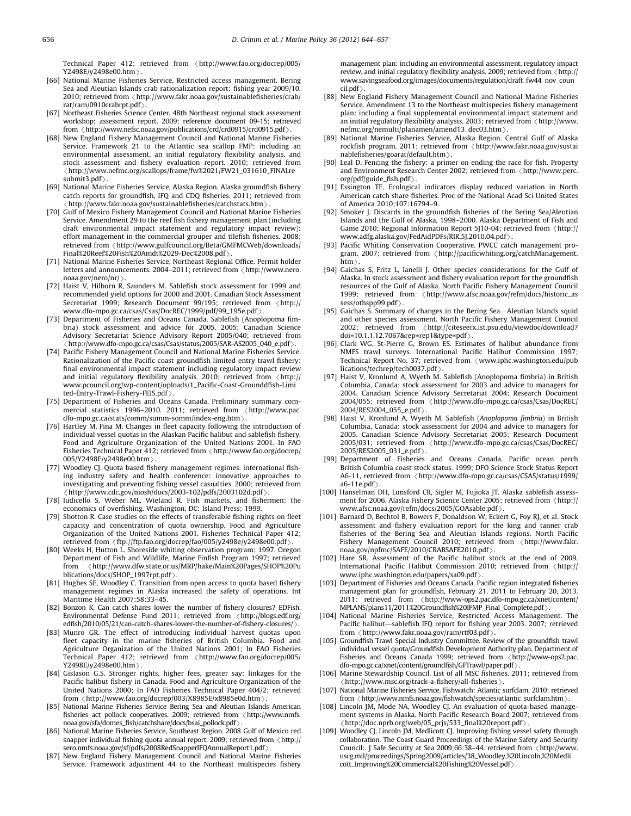Technical Paper 412; retrieved from  $\langle$ http://www.fao.org/docrep/005/ Y2498E/y2498e00.htm>

- [66] National Marine Fisheries Service, Restricted access management. Bering Sea and Aleutian Islands crab rationalization report: fishing year 2009/10. 2010; retrieved from <http://www.fakr.noaa.gov/sustainablefisheries/crab/ rat/ram/0910crabrpt.pdf $\rangle$ .
- [67] Northeast Fisheries Science Center. 48th Northeast regional stock assessment workshop: assessment report. 2009; reference document 09-15; retrieved from  $\langle$  http://www.nefsc.noaa.gov/publications/crd/crd0915/crd0915.pdf $\rangle$ .
- [68] New England Fishery Management Council and National Marine Fisheries Service. Framework 21 to the Atlantic sea scallop FMP: including an environmental assessment, an initial regulatory flexibility analysis, and stock assessment and fishery evaluation report. 2010; retrieved from /http://www.nefmc.org/scallops/frame/fw%2021/FW21\_031610\_FINALre submit $3$ .pdf $\overline{\phantom{a}}$
- [69] National Marine Fisheries Service, Alaska Region. Alaska groundfish fishery catch reports for groundfish, IFQ and CDQ fisheries. 2011; retrieved from  $\langle$ http://www.fakr.noaa.gov/sustainablefisheries/catchstats.htm $\rangle$ .
- [70] Gulf of Mexico Fishery Management Council and National Marine Fisheries Service. Amendment 29 to the reef fish fishery management plan (including draft environmental impact statement and regulatory impact review): effort management in the commercial grouper and tilefish fisheries. 2008; retrieved from <http://www.gulfcouncil.org/Beta/GMFMCWeb/downloads/ Final%20Reef%20Fish%20Amdt%2029-Dec%2008.pdf  $\rangle$ .
- [71] National Marine Fisheries Service, Northeast Regional Office. Permit holder letters and announcements. 2004–2011: retrieved from  $\triangle$ http://www.nero. noaa.gov/nero/nr/ $\rightarrow$
- [72] Haist V, Hilborn R, Saunders M. Sablefish stock assessment for 1999 and recommended yield options for 2000 and 2001. Canadian Stock Assessment Secretariat 1999; Research Document 99/195; retrieved from <http:// www.dfo-mpo.gc.ca/csas/Csas/DocREC/1999/pdf/99\_195e.pdf>
- [73] Department of Fisheries and Oceans Canada. Sablefish (Anoplopoma fimbria) stock assessment and advice for 2005. 2005; Canadian Science Advisory Secretariat Science Advisory Report 2005/040; retrieved from  $\langle$  http://www.dfo-mpo.gc.ca/csas/Csas/status/2005/SAR-AS2005\_040\_e.pdf $\rangle$ .
- [74] Pacific Fishery Management Council and National Marine Fisheries Service. Rationalization of the Pacific coast groundfish limited entry trawl fishery: final environmental impact statement including regulatory impact review and initial regulatory flexibility analysis. 2010; retrieved from  $\langle$ http:// www.pcouncil.org/wp-content/uploads/1\_Pacific-Coast-Grounddfish-Limi ted-Entry-Trawl-Fishery-FEIS.pdf >.
- [75] Department of Fisheries and Oceans Canada. Preliminary summary commercial statistics 1996-2010. 2011; retrieved from <http://www.pac. dfo-mpo.gc.ca/stats/comm/summ-somm/index-eng.htm  $\rangle$
- [76] Hartley M, Fina M. Changes in fleet capacity following the introduction of individual vessel quotas in the Alaskan Pacific halibut and sablefish fishery. Food and Agriculture Organization of the United Nations 2001. In FAO Fisheries Technical Paper 412; retrieved from  $\langle$  http://www.fao.org/docrep/ 005/Y2498E/y2498e00.htm >
- [77] Woodley CJ. Quota based fishery management regimes. international fishing industry safety and health conference: innovative approaches to investigating and preventing fishing vessel casualties. 2000; retrieved from  $\langle$ http://www.cdc.gov/niosh/docs/2003-102/pdfs/2003102d.pdf $\rangle$ .
- [78] Iudicello S, Weber ML, Wieland R. Fish markets, and fishermen: the economics of overfishing. Washington, DC: Island Press; 1999.
- [79] Shotton R. Case studies on the effects of transferable fishing rights on fleet capacity and concentration of quota ownership. Food and Agriculture Organization of the United Nations 2001. Fisheries Technical Paper 412; retrieved from  $\langle$  ftp://ftp.fao.org/docrep/fao/005/y2498e/y2498e00.pdf $\rangle$ .
- [80] Weeks H, Hutton L. Shoreside whiting observation program: 1997. Oregon Department of Fish and Wildlife, Marine Finfish Program 1997; retrieved from /http://www.dfw.state.or.us/MRP/hake/Main%20Pages/SHOP%20Pu blications/docs/SHOP\_1997rpt.pdf >.
- [81] Hughes SE, Woodley C. Transition from open access to quota based fishery management regimes in Alaska increased the safety of operations. Int Maritime Health 2007;58:33–45.
- [82] Bonzon K. Can catch shares lower the number of fishery closures? EDFish. Environmental Defense Fund 2011; retrieved from <http://blogs.edf.org/ edfish/2010/05/21/can-catch-shares-lower-the-number-of-fishery-closures/ $\rangle$ .
- [83] Munro GR. The effect of introducing individual harvest quotas upon fleet capacity in the marine fisheries of British Columbia. Food and Agriculture Organization of the United Nations 2001; In FAO Fisheries Technical Paper 412; retrieved from  $\langle$ http://www.fao.org/docrep/005/ Y2498E/y2498e00.htm $\rangle$ .
- [84] Gislason G.S. Stronger rights, higher fees, greater say: linkages for the Pacific halibut fishery in Canada. Food and Agriculture Organization of the United Nations 2000; In FAO Fisheries Technical Paper 404/2; retrieved from  $\langle$  http://www.fao.org/docrep/003/X8985E/x8985e0d.htm $\rangle$ .
- [85] National Marine Fisheries Service Bering Sea and Aleutian Islands American fisheries act pollock cooperatives. 2009; retrieved from  $\langle$ http://www.nmfs. noaa.gov/sfa/domes\_fish/catchshare/docs/bsai\_pollock.pdf>
- [86] National Marine Fisheries Service, Southeast Region. 2008 Gulf of Mexico red snapper individual fishing quota annual report. 2009; retrieved from  $\langle$ http:// sero.nmfs.noaa.gov/sf/pdfs/2008RedSnapperIFQAnnualReport1.pdf >.
- [87] New England Fishery Management Council and National Marine Fisheries Service. Framework adjustment 44 to the Northeast multispecies fishery

management plan: including an environmental assessment, regulatory impact review, and initial regulatory flexibility analysis. 2009; retrieved from  $\langle$  http:// www.savingseafood.org/images/documents/regulation/draft\_fw44\_nov\_coun  $cil.pdf$ .

- [88] New England Fishery Management Council and National Marine Fisheries Service. Amendment 13 to the Northeast multispecies fishery management plan: including a final supplemental environmental impact statement and an initial regulatory flexibility analysis. 2003; retrieved from  $\langle$  http://www. nefmc.org/nemulti/planamen/amend13\_dec03.htm  $>$
- [89] National Marine Fisheries Service, Alaska Region. Central Gulf of Alaska rockfish program. 2011; retrieved from <http://www.fakr.noaa.gov/sustai nablefisheries/goarat/default.htm $\rangle$ .
- [90] Leal D. Fencing the fishery: a primer on ending the race for fish. Property and Environment Research Center 2002; retrieved from  $\langle$  http://www.perc. org/pdf/guide\_fish.pdf $\rightarrow$
- [91] Essington TE. Ecological indicators display reduced variation in North American catch share fisheries. Proc of the National Acad Sci United States of America 2010;107:16794–9.
- [92] Smoker J. Discards in the groundfish fisheries of the Bering Sea/Aleutian Islands and the Gulf of Alaska, 1998–2000. Alaska Department of Fish and Game 2010; Regional Information Report 5J10-04; retrieved from  $\langle$  http:// www.adfg.alaska.gov/FedAidPDFs/RIR.5J.2010.04.pdf >.
- [93] Pacific Whiting Conservation Cooperative. PWCC catch management program. 2007; retrieved from /http://pacificwhiting.org/catchManagement. htm $\rangle$ .
- [94] Gaichas S, Fritz L, Ianelli J. Other species considerations for the Gulf of Alaska. In stock assessment and fishery evaluation report for the groundfish resources of the Gulf of Alaska. North Pacific Fishery Management Council 1999; retrieved from  $\langle$ http://www.afsc.noaa.gov/refm/docs/historic\_as sess/othspp99.pdf $\rangle$ .
- [95] Gaichas S. Summary of changes in the Bering Sea—Aleutian Islands squid and other species assessment. North Pacific Fishery Management Council 2002; retrieved from  $\langle$ http://citeseerx.ist.psu.edu/viewdoc/download? doi=10.1.1.12.7067&rep=rep1&type=pdf >.
- [96] Clark WG, St-Pierre G, Brown ES. Estimates of halibut abundance from NMFS trawl surveys. International Pacific Halibut Commission 1997; Technical Report No. 37; retrieved from < www.iphc.washington.edu/pub lications/techrep/tech0037.pdf $\rangle$
- [97] Haist V, Kronlund A, Wyeth M. Sablefish (Anoplopoma fimbria) in British Columbia, Canada: stock assessment for 2003 and advice to managers for 2004. Canadian Science Advisory Secretariat 2004; Research Document 2004/055; retrieved from <http://www.dfo-mpo.gc.ca/csas/Csas/DocREC/  $2004/\mbox{RES2004}\_055\_\mbox{e.pdf}$
- [98] Haist V, Kronlund A, Wyeth M. Sablefish (*Anoplopoma fimbria*) in British Columbia, Canada: stock assessment for 2004 and advice to managers for 2005. Canadian Science Advisory Secretariat 2005; Research Document 2005/031; retrieved from <http://www.dfo-mpo.gc.ca/csas/Csas/DocREC/ 2005/RES2005\_031\_e.pdf>.
- [99] Department of Fisheries and Oceans Canada. Pacific ocean perch British Columbia coast stock status. 1999; DFO Science Stock Status Report A6-11, retrieved from <http://www.dfo-mpo.gc.ca/csas/CSAS/status/1999/  $a6-11e.pdf$
- [100] Hanselman DH, Lunsford CR, Sigler M, Fujioka JT. Alaska sablefish assessment for 2006. Alaska Fishery Science Center 2005; retrieved from  $\langle$  http:// www.afsc.noaa.gov/refm/docs/2005/GOAsable.pdf $\rangle$
- [101] Barnard D, Bechtol B, Bowers F, Donaldson W, Eckert G, Foy RJ, et al. Stock assessment and fishery evaluation report for the king and tanner crab fisheries of the Bering Sea and Aleutian Islands regions. North Pacific Fishery Management Council 2010; retrieved from <http://www.fakr. noaa.gov/npfmc/SAFE/2010/CRABSAFE2010.pdf >
- [102] Hare SR. Assessment of the Pacific halibut stock at the end of 2009. International Pacific Halibut Commission 2010; retrieved from  $\langle$  http:// www.iphc.washington.edu/papers/sa09.pdf $\rangle$ .
- [103] Department of Fisheries and Oceans Canada. Pacific region integrated fisheries management plan for groundfish, February 21, 2011 to February 20, 2013. 2011; retrieved from <http://www-ops2.pac.dfo-mpo.gc.ca/xnet/content/  $MPLANS/plans11/2011%20Groundfish%20IFMP_Final\_Complete.pdf$
- [104] National Marine Fisheries Service, Restricted Access Management. The Pacific halibut—sablefish IFQ report for fishing year 2003. 2007; retrieved from <http://www.fakr.noaa.gov/ram/rtf03.pdf>.
- [105] Groundfish Trawl Special Industry Committee. Review of the groundfish trawl individual vessel quota/Groundfish Development Authority plan. Department of Fisheries and Oceans Canada 1999; retrieved from  $\langle$ http://www-ops2.pac. dfo-mpo.gc.ca/xnet/content/groundfish/GFTrawl/paper.pdf>
- [106] Marine Stewardship Council. List of all MSC fisheries. 2011; retrieved from  $\langle$ http://www.msc.org/track-a-fishery/all-fisheries $\rangle$ .
- [107] National Marine Fisheries Service. Fishwatch: Atlantic surfclam. 2010; retrieved from  $\langle$ http://www.nmfs.noaa.gov/fishwatch/species/atlantic\_surfclam.htm $\rangle$ .
- [108] Lincoln JM, Mode NA, Woodley CJ. An evaluation of quota-based management systems in Alaska. North Pacific Research Board 2007; retrieved from  $\langle$  http://doc.nprb.org/web/05\_prjs/533\_final%20report.pdf $\rangle$
- [109] Woodley CJ, Lincoln JM, Medlicott CJ. Improving fishing vessel safety through collaboration. The Coast Guard Proceedings of the Marine Safety and Security Council:. J Safe Security at Sea 2009;66:38-44. retrieved from <http://www. uscg.mil/proceedings/Spring2009/articles/38\_Woodley,%20Lincoln,%20Medli cott\_Improving%20Commercial%20Fishing%20Vessel.pdf >.